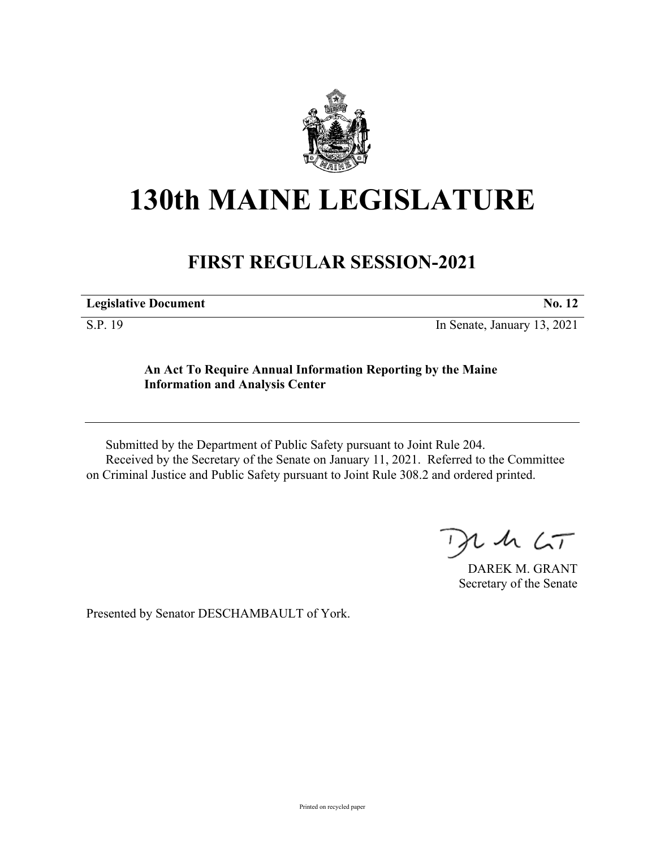

## **130th MAINE LEGISLATURE**

## **FIRST REGULAR SESSION-2021**

|  | <b>Legislative Document</b> |  |
|--|-----------------------------|--|
|--|-----------------------------|--|

S.P. 19 In Senate, January 13, 2021

## **An Act To Require Annual Information Reporting by the Maine Information and Analysis Center**

Submitted by the Department of Public Safety pursuant to Joint Rule 204. Received by the Secretary of the Senate on January 11, 2021. Referred to the Committee on Criminal Justice and Public Safety pursuant to Joint Rule 308.2 and ordered printed.

 $125$ 

DAREK M. GRANT Secretary of the Senate

Presented by Senator DESCHAMBAULT of York.